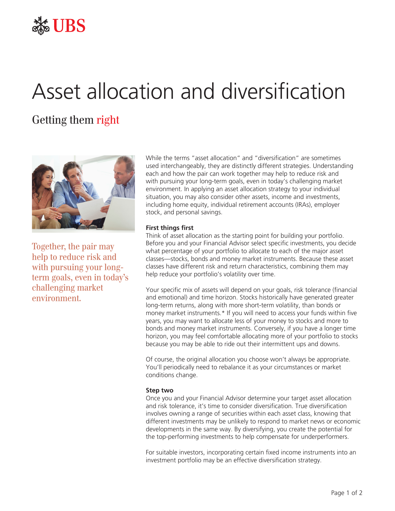

## Asset allocation and diversification

## Getting them right



Together, the pair may help to reduce risk and with pursuing your longterm goals, even in today's challenging market environment.

While the terms "asset allocation" and "diversification" are sometimes used interchangeably, they are distinctly different strategies. Understanding each and how the pair can work together may help to reduce risk and with pursuing your long-term goals, even in today's challenging market environment. In applying an asset allocation strategy to your individual situation, you may also consider other assets, income and investments, including home equity, individual retirement accounts (IRAs), employer stock, and personal savings.

## **First things first**

Think of asset allocation as the starting point for building your portfolio. Before you and your Financial Advisor select specific investments, you decide what percentage of your portfolio to allocate to each of the major asset classes—stocks, bonds and money market instruments. Because these asset classes have different risk and return characteristics, combining them may help reduce your portfolio's volatility over time.

Your specific mix of assets will depend on your goals, risk tolerance (financial and emotional) and time horizon. Stocks historically have generated greater long-term returns, along with more short-term volatility, than bonds or money market instruments.\* If you will need to access your funds within five years, you may want to allocate less of your money to stocks and more to bonds and money market instruments. Conversely, if you have a longer time horizon, you may feel comfortable allocating more of your portfolio to stocks because you may be able to ride out their intermittent ups and downs.

Of course, the original allocation you choose won't always be appropriate. You'll periodically need to rebalance it as your circumstances or market conditions change.

## **Step two**

Once you and your Financial Advisor determine your target asset allocation and risk tolerance, it's time to consider diversification. True diversification involves owning a range of securities within each asset class, knowing that different investments may be unlikely to respond to market news or economic developments in the same way. By diversifying, you create the potential for the top-performing investments to help compensate for underperformers.

For suitable investors, incorporating certain fixed income instruments into an investment portfolio may be an effective diversification strategy.